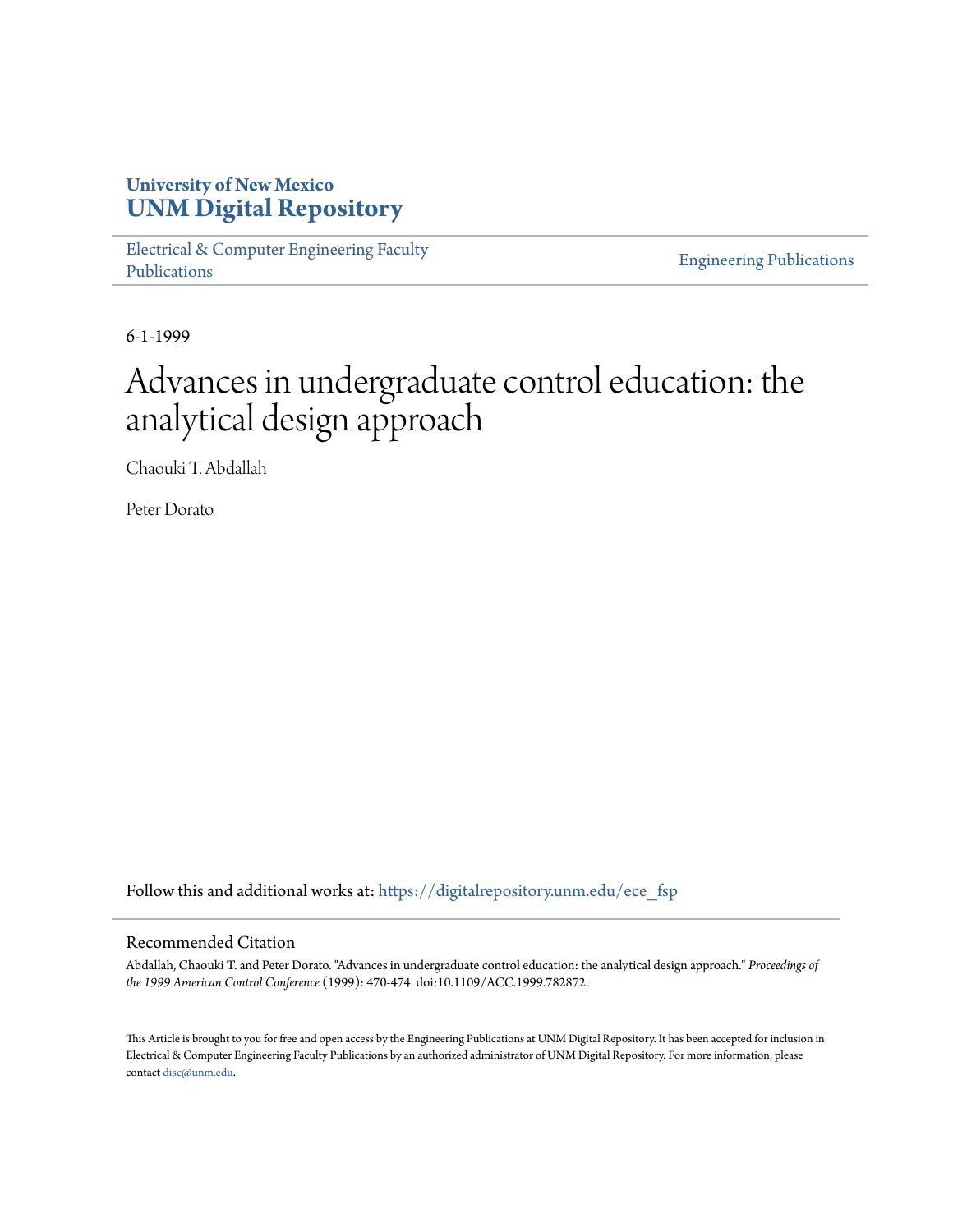# **University of New Mexico [UNM Digital Repository](https://digitalrepository.unm.edu?utm_source=digitalrepository.unm.edu%2Fece_fsp%2F189&utm_medium=PDF&utm_campaign=PDFCoverPages)**

[Electrical & Computer Engineering Faculty](https://digitalrepository.unm.edu/ece_fsp?utm_source=digitalrepository.unm.edu%2Fece_fsp%2F189&utm_medium=PDF&utm_campaign=PDFCoverPages) [Publications](https://digitalrepository.unm.edu/ece_fsp?utm_source=digitalrepository.unm.edu%2Fece_fsp%2F189&utm_medium=PDF&utm_campaign=PDFCoverPages)

[Engineering Publications](https://digitalrepository.unm.edu/eng_fsp?utm_source=digitalrepository.unm.edu%2Fece_fsp%2F189&utm_medium=PDF&utm_campaign=PDFCoverPages)

6-1-1999

# Advances in undergraduate control education: the analytical design approach

Chaouki T. Abdallah

Peter Dorato

Follow this and additional works at: [https://digitalrepository.unm.edu/ece\\_fsp](https://digitalrepository.unm.edu/ece_fsp?utm_source=digitalrepository.unm.edu%2Fece_fsp%2F189&utm_medium=PDF&utm_campaign=PDFCoverPages)

# Recommended Citation

Abdallah, Chaouki T. and Peter Dorato. "Advances in undergraduate control education: the analytical design approach." *Proceedings of the 1999 American Control Conference* (1999): 470-474. doi:10.1109/ACC.1999.782872.

This Article is brought to you for free and open access by the Engineering Publications at UNM Digital Repository. It has been accepted for inclusion in Electrical & Computer Engineering Faculty Publications by an authorized administrator of UNM Digital Repository. For more information, please contact [disc@unm.edu.](mailto:disc@unm.edu)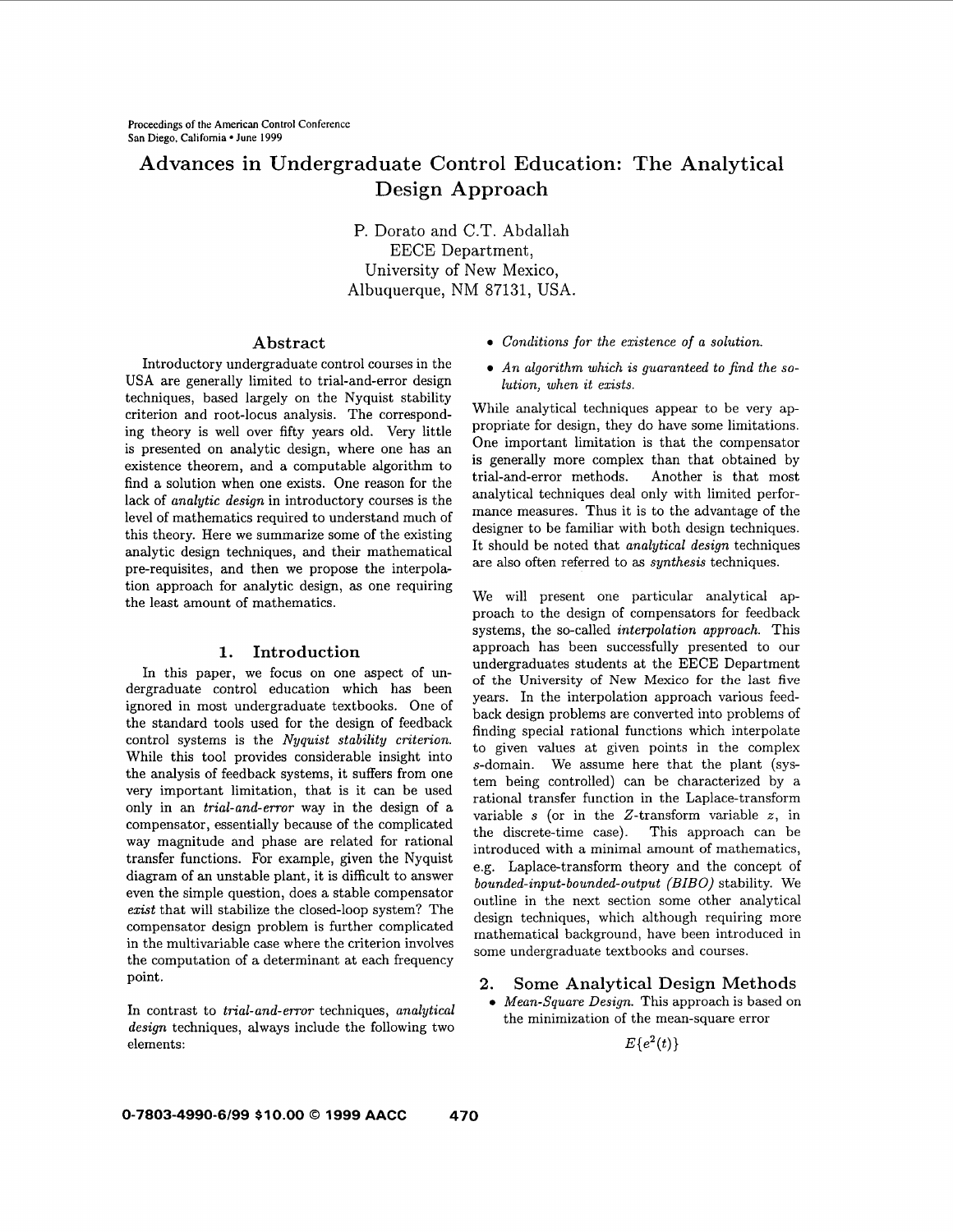# **Advances** in **Undergraduate Control Education: The Analytical Design Approach**

P. Dorato and C.T. Abdallah EECE Department, University of New Mexico, Albuquerque, NM 87131, USA.

## **Abstract**

Introductory undergraduate control courses in the USA are generally limited to trial-and-error design techniques, based largely on the Nyquist stability criterion and root-locus analysis. The corresponding theory is well over fifty years old. Very little is presented on analytic design, where one has an existence theorem, and a computable algorithm to find a solution when one exists. One reason for the lack of *analytic design* in introductory courses is the level of mathematics required to understand much of this theory. Here we summarize some of the existing analytic design techniques, and their mathematical pre-requisites, and then we propose the interpolation approach for analytic design, **as** one requiring the least amount of mathematics.

#### **1. Introduction**

In this paper, we focus on one aspect of undergraduate control education which has been ignored in most undergraduate textbooks. One of the standard tools used for the design of feedback control systems is the *Nyquist stability criterion.*  While this tool provides considerable insight into the analysis of feedback systems, it suffers from one very important limitation, that is it can be used only in an *trial-and-error* way in the design of a compensator, essentially because of the complicated way magnitude and phase are related for rational transfer functions. For example, given the Nyquist diagram of an unstable plant, it is difficult to answer even the simple question, does a stable compensator *exist* that will stabilize the closed-loop system? The compensator design problem is further complicated in the multivariable case where the criterion involves the computation of a determinant at each frequency

*design* techniques, always include the following two  $E{e^2(t)}$ elements:

- **e** *Conditions for the existence of a solution.*
- *An algorithm which is guaranteed to find the solution, when it exists.*

While analytical techniques appear to be very appropriate for design, they do have some limitations. One important limitation is that the compensator is generally more complex than that obtained by trial-and-error methods. Another is that most analytical techniques deal only with limited performance measures. Thus it is to the advantage of the designer to be familiar with both design techniques. It should be noted that *analytical design* techniques are also often referred to as *synthesis* techniques.

We will present one particular analytical approach to the design of compensators for feedback systems, the so-called *interpolation approach.* This approach has been successfully presented to our undergraduates students at the EECE Department of the University of New Mexico for the last five years. In the interpolation approach various feedback design problems are converted into problems of finding special rational functions which interpolate to given values at given points in the complex s-domain. We assume here that the plant (system being controlled) can be characterized by a rational transfer function in the Laplace-transform variable s (or in the 2-transform variable *z,* in the discrete-time case). This approach can be introduced with a minimal amount of mathematics, e.g. Laplace-transform theory and the concept of *bounded-input-bounded-output (BIBO)* stability. We outline in the next section some other analytical design techniques, which although requiring more mathematical background, have been introduced in some undergraduate textbooks and courses.

# **2. Some Analytical Design Methods** point.

In contrast to *trial-and-error* techniques, *analytical* <br>*Mean-Square Design*. This approach is based on the minimization of the mean-square error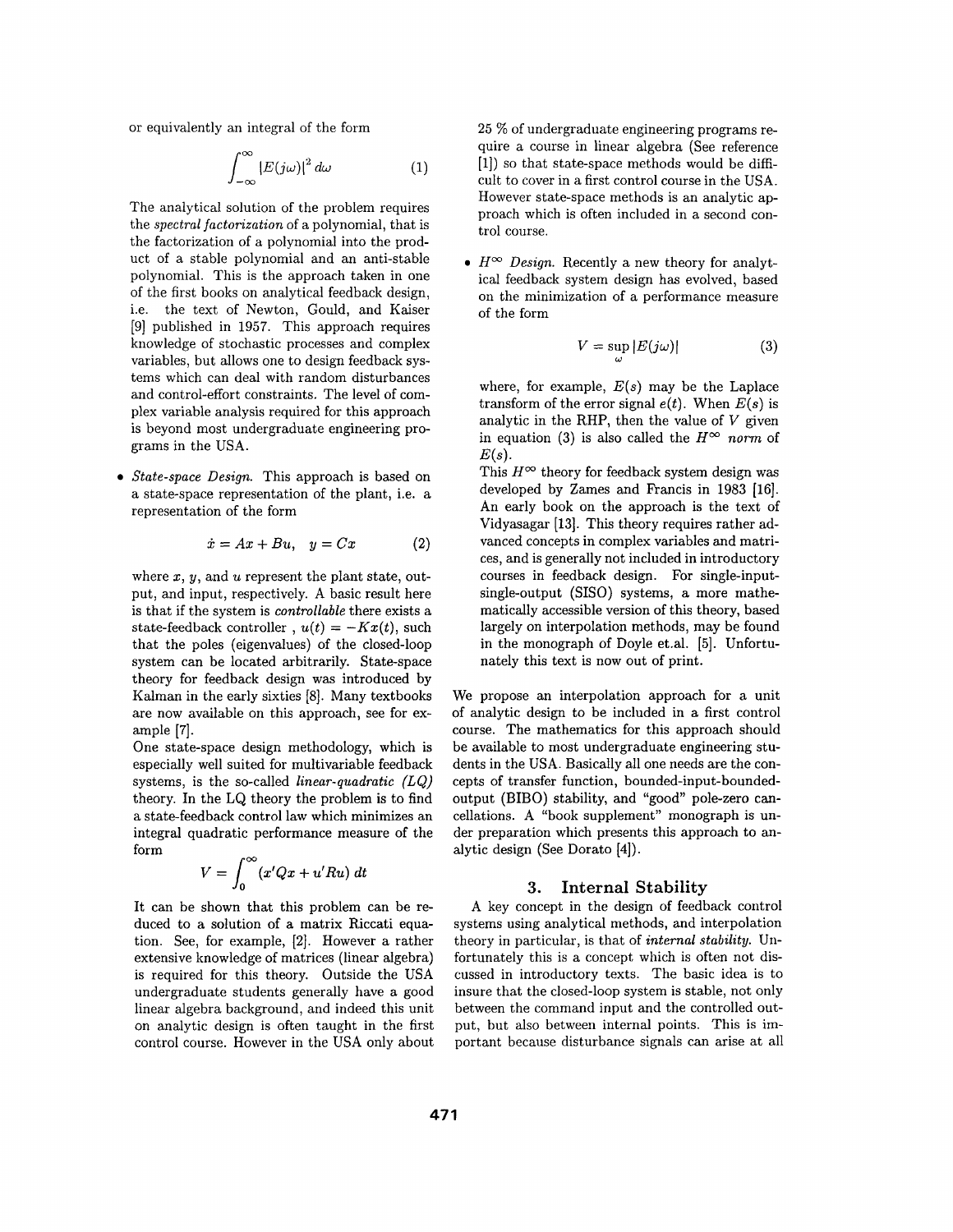or equivalently an integral of the form

$$
\int_{-\infty}^{\infty} |E(j\omega)|^2 \, d\omega \tag{1}
$$

The analytical solution of the problem requires the *spectral factorization* of a polynomial, that is the factorization of a polynomial into the product of a stable polynomial and an anti-stable polynomial. This is the approach taken in one of the first books on analytical feedback design, i.e. the text of Newton, Gould, and Kaiser [9] published in 1957. This approach requires knowledge of stochastic processes and complex variables, but allows one to design feedback systems which can deal with random disturbances and control-effort constraints. The level of complex variable analysis required for this approach is beyond most undergraduate engineering programs in the USA.

*State-space Design.* This approach is based on a state-space representation of the plant, i.e. a representation of the form

$$
\dot{x} = Ax + Bu, \quad y = Cx \tag{2}
$$

where *x*, *y*, and *u* represent the plant state, output, and input, respectively. A basic result here is that if the system is *controllable* there exists a state-feedback controller,  $u(t) = -Kx(t)$ , such that the poles (eigenvalues) of the closed-loop system can be located arbitrarily. State-space theory for feedback design was introduced by Kalman in the early sixties [8]. Many textbooks are now available on this approach, see for example [7].

One state-space design methodology, which is especially well suited for multivariable feedback systems, is the so-called *linear-quadratic (LQ)*  theory. In the LQ theory the problem is to find a state-feedback control law which minimizes an integral quadratic performance measure of the form  $\sim$ 

$$
V = \int_0^\infty (x'Qx + u'Ru) dt
$$

It can be shown that this problem can be reduced to a solution of a matrix Riccati equation. See, for example, [2]. However a rather extensive knowledge of matrices (linear algebra) is required for this theory. Outside the USA undergraduate students generally have a good linear algebra background, and indeed this unit on analytic design is often taught in the first control course. However in the USA only about 25 % of undergraduate engineering programs require a course in linear algebra (See reference [l]) so that state-space methods would be difficult to cover in a first control course in the USA. However state-space methods is an analytic approach which is often included in a second control course.

 $\bullet$   $H^{\infty}$  *Design.* Recently a new theory for analytical feedback system design has evolved, based on the minimization of a performance measure of the form

$$
V = \sup_{\omega} |E(j\omega)| \tag{3}
$$

where, for example,  $E(s)$  may be the Laplace transform of the error signal  $e(t)$ . When  $E(s)$  is analytic in the RHP, then the value of *V* given in equation (3) is also called the  $H^{\infty}$  norm of  $E(s)$ .

This  $H^{\infty}$  theory for feedback system design was developed by Zames and Francis in 1983 [16]. An early book on the approach is the text of Vidyasagar [13]. This theory requires rather advanced concepts in complex variables and matrices, and is generally not included in introductory courses in feedback design. For single-inputsingle-output (SISO) systems, a more mathematically accessible version of this theory, based largely on interpolation methods, may be found in the monograph of Doyle et.al. [5]. Unfortunately this text is now out of print.

We propose an interpolation approach for a unit of analytic design to be included in a first control course. The mathematics for this approach should be available to most undergraduate engineering students in the **USA.** Basically all one needs are the concepts of transfer function, bounded-input-boundedoutput (BIBO) stability, and "good" pole-zero cancellations. A "book supplement" monograph is under preparation which presents this approach to analytic design (See Dorato **[4]).** 

#### **3. Internal Stability**

**A** key concept in the design of feedback control systems using analytical methods, and interpolation theory in particular, is that of *internal stability.* Unfortunately this is a concept which is often not discussed in introductory texts. The basic idea is to insure that the closed-loop system is stable, not only between the command input and the controlled output, but also between internal points. This is important because disturbance signals can arise at all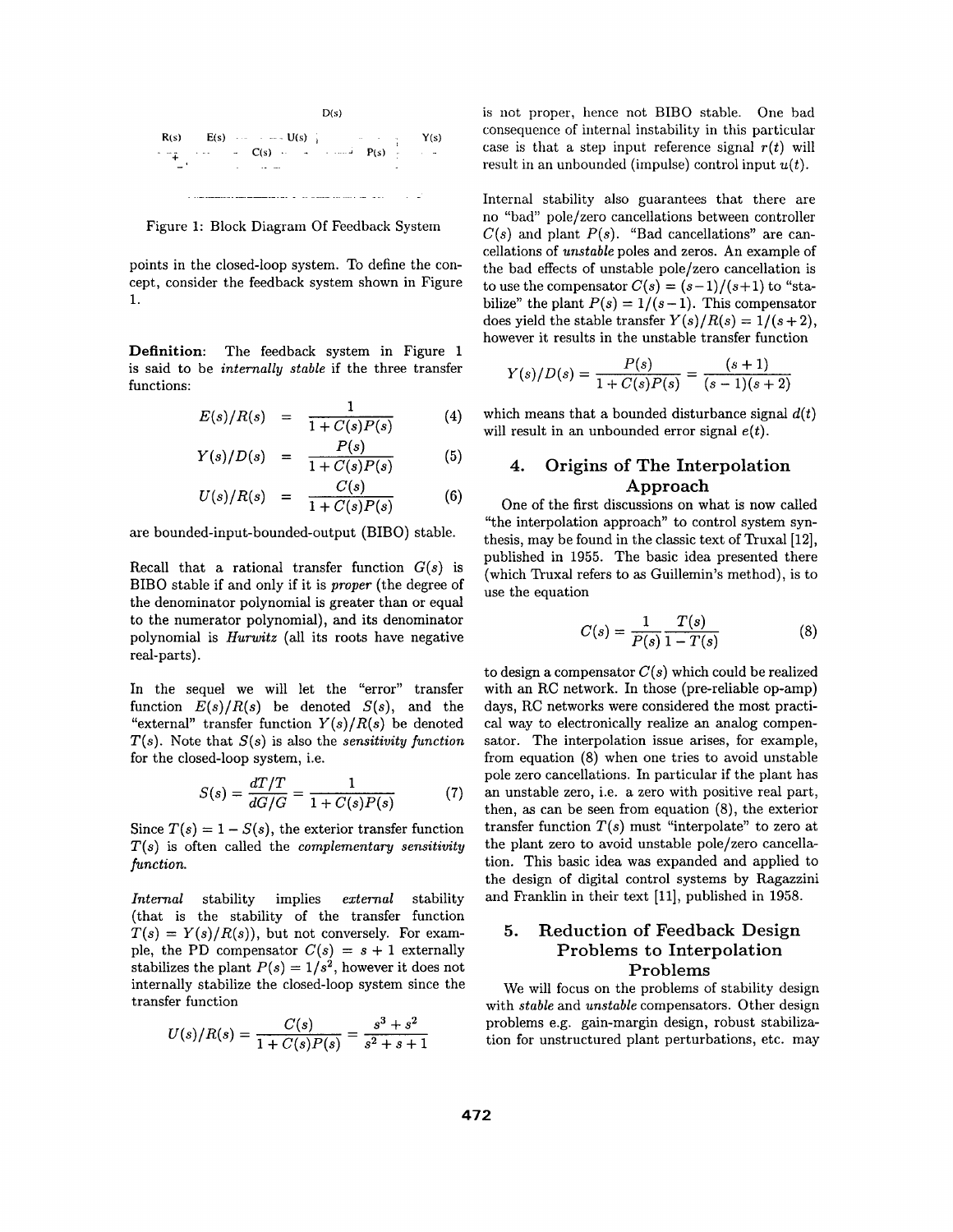

points in the closed-loop system. To define the concept, consider the feedback system shown in Figure **1.** 

**Definition:** The feedback system in Figure 1 functions: is said to be *internally stable* if the three transfer

$$
E(s)/R(s) = \frac{1}{1+C(s)P(s)}
$$
(4)

$$
Y(s)/D(s) = \frac{F(s)}{1 + C(s)P(s)} \tag{5}
$$

$$
U(s)/R(s) = \frac{U(s)}{1 + C(s)P(s)}
$$
(6)

are bounded-input-bounded-output (BIBO) stable.

Recall that a rational transfer function *G(s)* is BIBO stable if and only if it is *proper* (the degree of the denominator polynomial is greater than or equal to the numerator polynomial), and its denominator polynomial is *Hurwitz* (all its roots have negative real-parts).

In the sequel we will let the "error" transfer function  $E(s)/R(s)$  be denoted  $S(s)$ , and the "external" transfer function  $Y(s)/R(s)$  be denoted *T(s).* Note that *S(s)* is also the *sensitivity function*  for the closed-loop system, i.e. quel we will let the "error"<br>  $E(s)/R(s)$  be denoted  $S(s)$ ,<br>
transfer function  $Y(s)/R(s)$  be<br>  $e$  that  $S(s)$  is also the *sensitivity*<br>
sed-loop system, i.e.<br>  $S(s) = \frac{dT/T}{dG/G} = \frac{1}{1 + C(s)P(s)}$ 

$$
S(s) = \frac{dT/T}{dG/G} = \frac{1}{1 + C(s)P(s)}
$$
(7)

Since  $T(s) = 1 - S(s)$ , the exterior transfer function *T(s)* is often called the *complementary sensitivity function.* 

*Internal* stability implies *external* stability (that is the stability of the transfer function  $T(s) = Y(s)/R(s)$ , but not conversely. For example, the PD compensator  $C(s) = s + 1$  externally stabilizes the plant  $P(s) = 1/s^2$ , however it does not internally stabilize the closed-loop system since the transfer function

$$
U(s)/R(s) = \frac{C(s)}{1 + C(s)P(s)} = \frac{s^3 + s^2}{s^2 + s + 1}
$$

D(s) is not proper, hence not BIBO stable. One bad consequence of internal instability in this particular  $C(s)$  **P(s)**  $Y(s)$  **Consequence of internal instability in this particular**  $C(s)$  **C(s) P(x) P(x) C(s) C(x) C(x) C(x) C(x) C(x) C(x) C(x) C(x) C(x) C(x) C(x) C(x) C(x) C(x) C(x) C(x)** result in an unbounded (impulse) control input *u(t).* 

Internal stability also guarantees that there are no "bad" pole/zero cancellations between controller Figure 1: Block Diagram Of Feedback System  $C(s)$  and plant  $P(s)$ . "Bad cancellations" are cancellations of *unstable* poles and zeros. An example of the bad effects of unstable pole/zero cancellation is to use the compensator  $C(s) = (s-1)/(s+1)$  to "stabilize" the plant  $P(s) = 1/(s-1)$ . This compensator does yield the stable transfer  $Y(s)/R(s) = 1/(s+2)$ , however it results in the unstable transfer function

$$
Y(s)/D(s) = \frac{P(s)}{1 + C(s)P(s)} = \frac{(s+1)}{(s-1)(s+2)}
$$

which means that a bounded disturbance signal  $d(t)$ will result in an unbounded error signal *e(t).* 

# *y(s)'D(s)* = **1** + *C(s)P(s)* **(5) 4. Origins of The Interpolation**  Approach

One of the first discussions on what is now called "the interpolation approach" to control system synthesis, may be found in the classic text of Truxal [12], published in 1955. The basic idea presented there (which Truxal refers to as Guillemin's method), is to use the equation  $C(s) = \frac{1}{P(s)} \frac{T(s)}{1 - T(s)}$  (8) (which Truxal refers to as Guillemin's method), is to use the equation

$$
C(s) = \frac{1}{P(s)} \frac{T(s)}{1 - T(s)}\tag{8}
$$

to design a compensator *C(s)* which could be realized with an RC network. In those (pre-reliable op-amp) days, RC networks were considered the most practical way to electronically realize an analog compensator. The interpolation issue arises, for example, from equation (8) when one tries to avoid unstable pole zero cancellations. In particular if the plant has **an** unstable zero, i.e. a zero with positive real part, then, as can be seen from equation **(8),** the exterior transfer function  $T(s)$  must "interpolate" to zero at the plant zero to avoid unstable pole/zero cancellation. This basic idea was expanded and applied to the design of digital control systems by Ragazzini and Franklin in their text **[ll],** published in **1958.** 

# **5. Reduction of Feedback Design Problems to Interpolation Problems**

We will focus on the problems of stability design with *stable* and *unstable* compensators. Other design problems e.g. gain-margin design, robust stabilization for unstructured plant perturbations, etc. may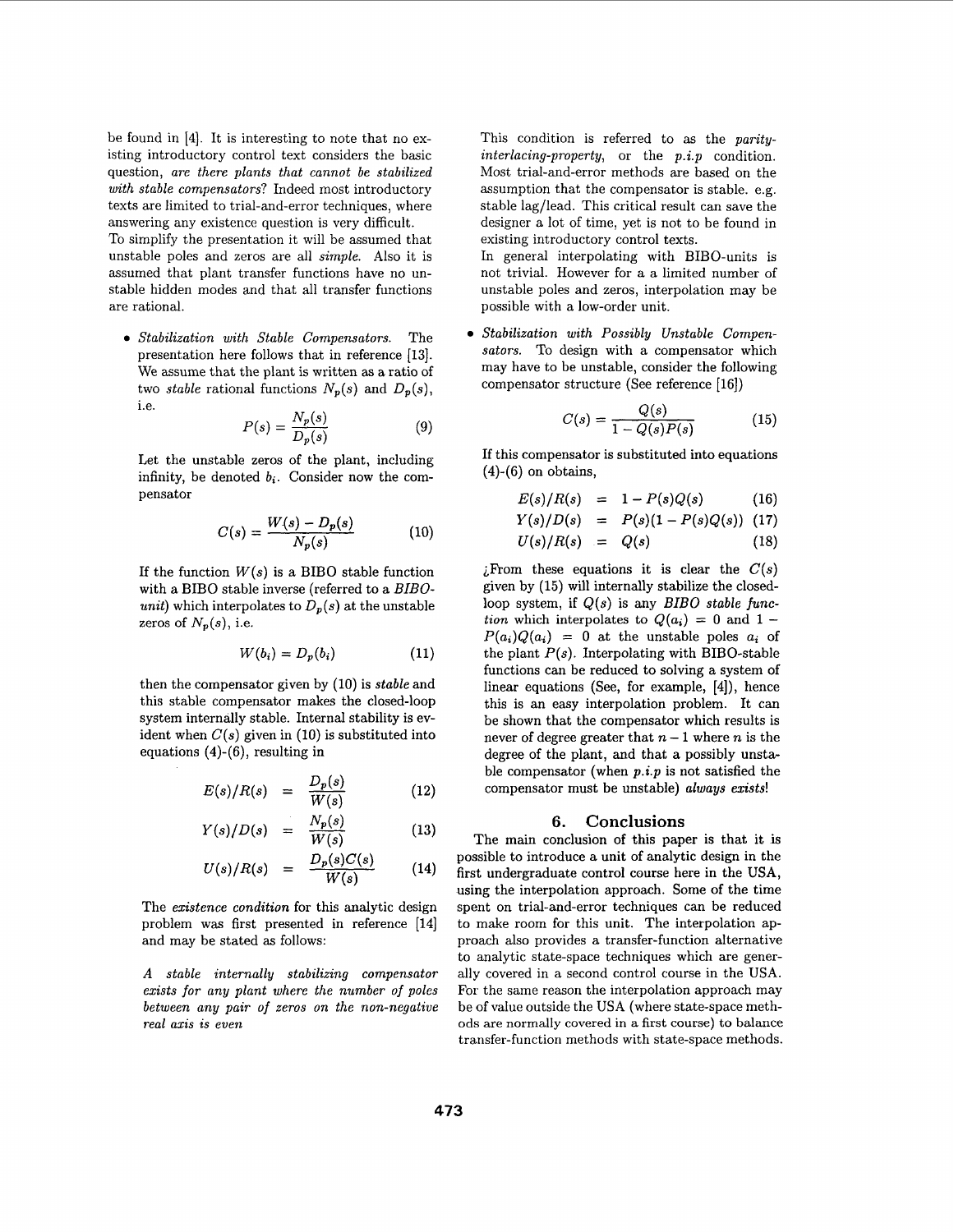be found in [4]. It is interesting to note that no existing introductory control text considers the basic question, *are there plants that cannot be stabilized with stable compensators?* Indeed most introductory texts are limited to trial-and-error techniques, where answering any existence question is very difficult.

To simplify the presentation it will be assumed that unstable poles and zeros are all *simple.* Also it is assumed that plant transfer functions have no unstable hidden modes and that all transfer functions are rational.

*Stabilization with Stable Compensators.* The presentation here follows that in reference [13]. We assume that the plant is written as a ratio of two *stable* rational functions  $N_p(s)$  and  $D_p(s)$ , i.e.

$$
P(s) = \frac{N_p(s)}{D_p(s)}\tag{9}
$$

Let the unstable zeros of the plant, including infinity, be denoted  $b_i$ . Consider now the compensator

$$
C(s) = \frac{W(s) - D_p(s)}{N_p(s)}
$$
 (10)

If the function  $W(s)$  is a BIBO stable function with a BIBO stable inverse (referred to a *BIBOunit*) which interpolates to  $D_p(s)$  at the unstable zeros of  $N_p(s)$ , i.e.

$$
W(b_i) = D_p(b_i) \tag{11}
$$

then the compensator given by (10) is *stable* and this stable compensator makes the closed-loop system internally stable. Internal stability is evident when  $C(s)$  given in (10) is substituted into equations (4)-(6), resulting in

$$
E(s)/R(s) = \frac{D_p(s)}{W(s)} \qquad (12)
$$

$$
Y(s)/D(s) = \frac{N_p(s)}{W(s)} \tag{13}
$$

$$
U(s)/R(s) = \frac{D_p(s)C(s)}{W(s)} \qquad (14)
$$

The *existence condition* for this analytic design problem was first presented in reference [14] and may be stated **as** follows:

*A stable internally stabilizing compensator exists for any plant where the number of poles between any pair of zeros on the non-negative real axis is even* 

This condition is referred to **as** the *parityinterlacing-property,* or the *p.i.p* condition. Most trial-and-error methods are based on the assumption that the compensator is stable. e.g. stable lag/lead. This critical result can save the designer a lot of time, yet is not to be found in existing introductory control texts.

In general interpolating with BIBO-units is not trivial. However for a a limited number of unstable poles and zeros, interpolation may be possible with a low-order unit.

*Stabilization with Possibly Unstable Compensators.* To design with a compensator which may have to be unstable, consider the following compensator structure (See reference [16])

$$
C(s) = \frac{Q(s)}{1 - Q(s)P(s)}\tag{15}
$$

If this compensator is substituted into equations **(4)-(6)** on obtains,

$$
E(s)/R(s) = 1 - P(s)Q(s)
$$
 (16)

$$
Y(s)/D(s) = P(s)(1-P(s)Q(s))
$$
 (17)

$$
U(s)/R(s) = Q(s) \qquad (18)
$$

 $i$ From these equations it is clear the  $C(s)$ given by (15) will internally stabilize the closedloop system, if *Q(s)* is any *BIBO stable function* which interpolates to  $Q(a_i) = 0$  and  $1 P(a_i)Q(a_i) = 0$  at the unstable poles  $a_i$  of the plant  $P(s)$ . Interpolating with BIBO-stable functions can be reduced to solving a system of linear equations (See, for example, **[4]),** hence this is an easy interpolation problem. It can be shown that the compensator which results is never of degree greater that  $n-1$  where n is the degree of the plant, and that a possibly unstable compensator (when *p.i.p* is not satisfied the compensator must be unstable) *always exists!* 

### **6. Conclusions**

The main conclusion of this paper is that it is possible to introduce a unit of analytic design in the first undergraduate control course here in the **USA,**  using the interpolation approach. Some of the time spent on trial-and-error techniques can be reduced to make room for this unit. The interpolation approach also provides a transfer-function alternative to analytic state-space techniques which are generally covered in a second control course in the USA. For the same reason the interpolation approach may be of value outside the USA (where state-space methods are normally covered in **a** first course) to balance transfer-function methods with state-space methods.